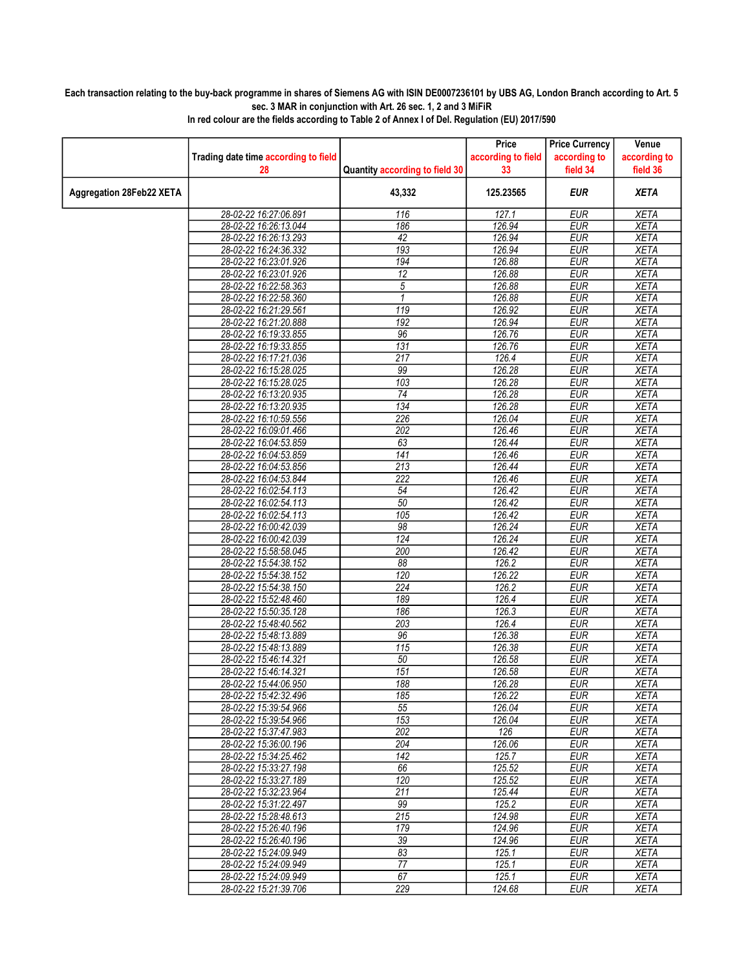## Each transaction relating to the buy-back programme in shares of Siemens AG with ISIN DE0007236101 by UBS AG, London Branch according to Art. 5 sec. 3 MAR in conjunction with Art. 26 sec. 1, 2 and 3 MiFiR

|                          |                                                |                                | Price              | <b>Price Currency</b>    | Venue                      |
|--------------------------|------------------------------------------------|--------------------------------|--------------------|--------------------------|----------------------------|
|                          | Trading date time according to field           |                                | according to field | according to             | according to               |
|                          | 28                                             | Quantity according to field 30 | 33                 | field 34                 | field 36                   |
|                          |                                                |                                |                    |                          |                            |
| Aggregation 28Feb22 XETA |                                                | 43,332                         | 125.23565          | EUR                      | <b>XETA</b>                |
|                          |                                                |                                |                    |                          |                            |
|                          | 28-02-22 16:27:06.891                          | 116                            | 127.1              | <b>EUR</b>               | <b>XETA</b>                |
|                          | 28-02-22 16:26:13.044                          | 186<br>42                      | 126.94             | <b>EUR</b>               | <b>XETA</b>                |
|                          | 28-02-22 16:26:13.293                          | 193                            | 126.94<br>126.94   | <b>EUR</b>               | <b>XETA</b><br><b>XETA</b> |
|                          | 28-02-22 16:24:36.332                          |                                |                    | <b>EUR</b>               |                            |
|                          | 28-02-22 16:23:01.926                          | 194                            | 126.88<br>126.88   | <b>EUR</b><br><b>EUR</b> | <b>XETA</b>                |
|                          | 28-02-22 16:23:01.926<br>28-02-22 16:22:58.363 | 12<br>5                        | 126.88             | <b>EUR</b>               | <b>XETA</b><br><b>XETA</b> |
|                          | 28-02-22 16:22:58.360                          | $\mathbf{1}$                   | 126.88             | <b>EUR</b>               | <b>XETA</b>                |
|                          | 28-02-22 16:21:29.561                          | 119                            | 126.92             | <b>EUR</b>               | <b>XETA</b>                |
|                          | 28-02-22 16:21:20.888                          | 192                            | 126.94             | <b>EUR</b>               | <b>XETA</b>                |
|                          | 28-02-22 16:19:33.855                          | 96                             | 126.76             | <b>EUR</b>               | <b>XETA</b>                |
|                          | 28-02-22 16:19:33.855                          | 131                            | 126.76             | <b>EUR</b>               | <b>XETA</b>                |
|                          | 28-02-22 16:17:21.036                          | $\overline{217}$               | 126.4              | <b>EUR</b>               | <b>XETA</b>                |
|                          | 28-02-22 16:15:28.025                          | 99                             | 126.28             | <b>EUR</b>               | <b>XETA</b>                |
|                          | 28-02-22 16:15:28.025                          | 103                            | 126.28             | <b>EUR</b>               | <b>XETA</b>                |
|                          | 28-02-22 16:13:20.935                          | 74                             | 126.28             | <b>EUR</b>               | <b>XETA</b>                |
|                          | 28-02-22 16:13:20.935                          | 134                            | 126.28             | <b>EUR</b>               | <b>XETA</b>                |
|                          | 28-02-22 16:10:59.556                          | 226                            | 126.04             | EUR                      | <b>XETA</b>                |
|                          | 28-02-22 16:09:01.466                          | 202                            | 126.46             | <b>EUR</b>               | <b>XETA</b>                |
|                          | 28-02-22 16:04:53.859                          | 63                             | 126.44             | <b>EUR</b>               | <b>XETA</b>                |
|                          | 28-02-22 16:04:53.859                          | $\overline{141}$               | 126.46             | <b>EUR</b>               | <b>XETA</b>                |
|                          | 28-02-22 16:04:53.856                          | 213                            | 126.44             | <b>EUR</b>               | <b>XETA</b>                |
|                          | 28-02-22 16:04:53.844                          | 222                            | 126.46             | <b>EUR</b>               | <b>XETA</b>                |
|                          | 28-02-22 16:02:54.113                          | 54                             | 126.42             | <b>EUR</b>               | <b>XETA</b>                |
|                          | 28-02-22 16:02:54.113                          | 50                             | 126.42             | <b>EUR</b>               | <b>XETA</b>                |
|                          | 28-02-22 16:02:54.113                          | 105                            | 126.42             | <b>EUR</b>               | <b>XETA</b>                |
|                          | 28-02-22 16:00:42.039                          | 98                             | 126.24             | <b>EUR</b>               | <b>XETA</b>                |
|                          | 28-02-22 16:00:42.039                          | 124                            | 126.24             | <b>EUR</b>               | <b>XETA</b>                |
|                          | 28-02-22 15:58:58.045                          | 200                            | 126.42             | <b>EUR</b>               | <b>XETA</b>                |
|                          | 28-02-22 15:54:38.152                          | 88                             | 126.2              | <b>EUR</b>               | <b>XETA</b>                |
|                          | 28-02-22 15:54:38.152                          | 120                            | 126.22             | <b>EUR</b>               | <b>XETA</b>                |
|                          | 28-02-22 15:54:38.150                          | 224                            | 126.2              | <b>EUR</b>               | <b>XETA</b>                |
|                          | 28-02-22 15:52:48.460                          | 189                            | 126.4              | <b>EUR</b>               | <b>XETA</b>                |
|                          | 28-02-22 15:50:35.128                          | 186                            | 126.3              | <b>EUR</b>               | <b>XETA</b>                |
|                          | 28-02-22 15:48:40.562                          | 203                            | 126.4              | <b>EUR</b>               | <b>XETA</b>                |
|                          | 28-02-22 15:48:13.889                          | 96                             | 126.38             | <b>EUR</b>               | <b>XETA</b>                |
|                          | 28-02-22 15:48:13.889                          | 115                            | 126.38             | <b>EUR</b>               | <b>XETA</b>                |
|                          | 28-02-22 15:46:14.321                          | 50                             | 126.58             | <b>EUR</b>               | <b>XETA</b>                |
|                          | 28-02-22 15:46:14.321                          | 151                            | 126.58             | <b>EUR</b>               | <b>XETA</b>                |
|                          | 28-02-22 15:44:06.950                          | 188                            | 126.28             | <b>EUR</b>               | <b>XETA</b>                |
|                          | 28-02-22 15:42:32.496                          | 185                            | 126.22             | EUR                      | XETA                       |
|                          | 28-02-22 15:39:54.966                          | 55                             | 126.04             | <b>EUR</b>               | <b>XETA</b>                |
|                          | 28-02-22 15:39:54.966                          | 153                            | 126.04             | <b>EUR</b>               | <b>XETA</b>                |
|                          | 28-02-22 15:37:47.983                          | 202                            | 126                | <b>EUR</b>               | XETA                       |
|                          | 28-02-22 15:36:00.196                          | 204                            | 126.06             | <b>EUR</b>               | <b>XETA</b>                |
|                          | 28-02-22 15:34:25.462                          | 142                            | 125.7              | <b>EUR</b>               | <b>XETA</b>                |
|                          | 28-02-22 15:33:27.198                          | 66                             | 125.52             | <b>EUR</b>               | <b>XETA</b>                |
|                          | 28-02-22 15:33:27.189                          | 120                            | 125.52             | <b>EUR</b>               | <b>XETA</b>                |
|                          | 28-02-22 15:32:23.964                          | 211                            | 125.44             | <b>EUR</b>               | <b>XETA</b>                |
|                          | 28-02-22 15:31:22.497                          | 99                             | 125.2              | <b>EUR</b>               | <b>XETA</b>                |
|                          | 28-02-22 15:28:48.613                          | 215                            | 124.98             | <b>EUR</b>               | <b>XETA</b>                |
|                          | 28-02-22 15:26:40.196                          | 179                            | 124.96             | <b>EUR</b>               | <b>XETA</b>                |
|                          | 28-02-22 15:26:40.196                          | 39                             | 124.96             | <b>EUR</b>               | <b>XETA</b>                |
|                          | 28-02-22 15:24:09.949                          | 83                             | 125.1              | <b>EUR</b>               | <b>XETA</b>                |
|                          | 28-02-22 15:24:09.949                          | 77                             | 125.1              | <b>EUR</b>               | <b>XETA</b>                |
|                          | 28-02-22 15:24:09.949                          | 67                             | 125.1              | <b>EUR</b>               | <b>XETA</b>                |
|                          | 28-02-22 15:21:39.706                          | 229                            | 124.68             | EUR                      | <b>XETA</b>                |

In red colour are the fields according to Table 2 of Annex I of Del. Regulation (EU) 2017/590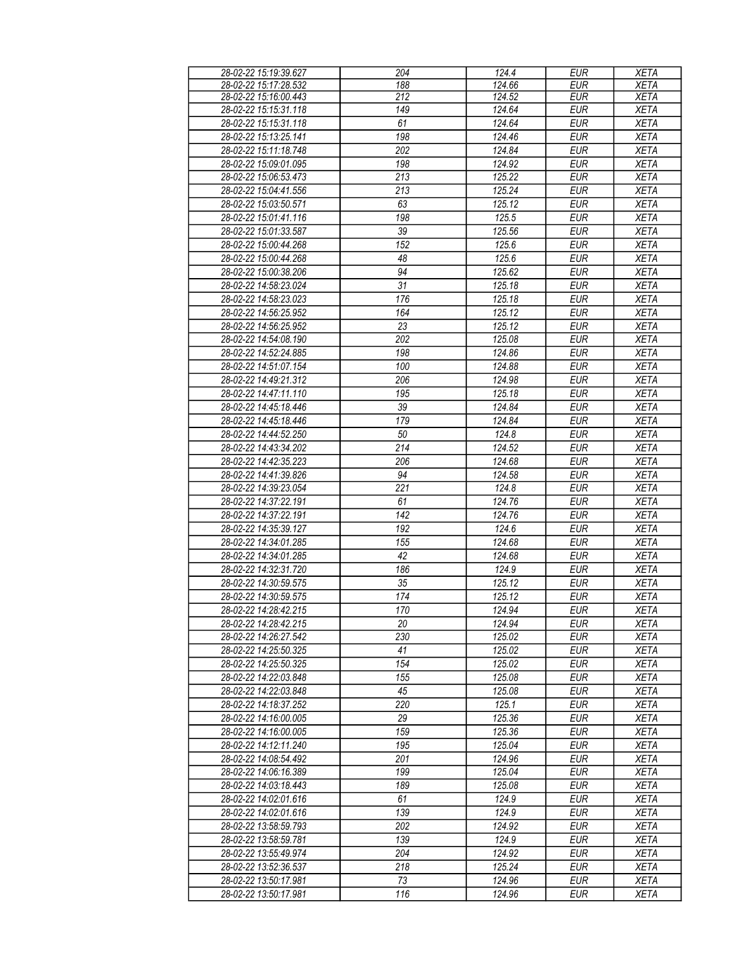| 28-02-22 15:19:39.627 | 204             | 124.4  | <b>EUR</b> | <b>XETA</b> |
|-----------------------|-----------------|--------|------------|-------------|
| 28-02-22 15:17:28.532 | 188             | 124.66 | EUR        | <b>XETA</b> |
| 28-02-22 15:16:00.443 | 212             | 124.52 | <b>EUR</b> | <b>XETA</b> |
| 28-02-22 15:15:31.118 | 149             | 124.64 | <b>EUR</b> |             |
|                       |                 |        |            | <b>XETA</b> |
| 28-02-22 15:15:31.118 | 61              | 124.64 | <b>EUR</b> | <b>XETA</b> |
| 28-02-22 15:13:25.141 | 198             | 124.46 | <b>EUR</b> | <b>XETA</b> |
| 28-02-22 15:11:18.748 | 202             | 124.84 | <b>EUR</b> | <b>XETA</b> |
| 28-02-22 15:09:01.095 | 198             | 124.92 | <b>EUR</b> | <b>XETA</b> |
| 28-02-22 15:06:53.473 | 213             | 125.22 | <b>EUR</b> | <b>XETA</b> |
|                       |                 |        |            |             |
| 28-02-22 15:04:41.556 | 213             | 125.24 | <b>EUR</b> | <b>XETA</b> |
| 28-02-22 15:03:50.571 | 63              | 125.12 | <b>EUR</b> | <b>XETA</b> |
| 28-02-22 15:01:41.116 | 198             | 125.5  | <b>EUR</b> | <b>XETA</b> |
| 28-02-22 15:01:33.587 | 39              | 125.56 | <b>EUR</b> | <b>XETA</b> |
| 28-02-22 15:00:44.268 | 152             | 125.6  | <b>EUR</b> | <b>XETA</b> |
| 28-02-22 15:00:44.268 | 48              | 125.6  | <b>EUR</b> | <b>XETA</b> |
| 28-02-22 15:00:38.206 | 94              | 125.62 | <b>EUR</b> | <b>XETA</b> |
|                       | 31              | 125.18 | <b>EUR</b> |             |
| 28-02-22 14:58:23.024 |                 |        |            | <b>XETA</b> |
| 28-02-22 14:58:23.023 | 176             | 125.18 | <b>EUR</b> | <b>XETA</b> |
| 28-02-22 14:56:25.952 | 164             | 125.12 | <b>EUR</b> | <b>XETA</b> |
| 28-02-22 14:56:25.952 | 23              | 125.12 | <b>EUR</b> | <b>XETA</b> |
| 28-02-22 14:54:08.190 | 202             | 125.08 | <b>EUR</b> | <b>XETA</b> |
| 28-02-22 14:52:24.885 | 198             | 124.86 | <b>EUR</b> | <b>XETA</b> |
| 28-02-22 14:51:07.154 | 100             | 124.88 | <b>EUR</b> | <b>XETA</b> |
| 28-02-22 14:49:21.312 | 206             | 124.98 | <b>EUR</b> | <b>XETA</b> |
|                       |                 |        |            |             |
| 28-02-22 14:47:11.110 | 195             | 125.18 | <b>EUR</b> | <b>XETA</b> |
| 28-02-22 14:45:18.446 | 39              | 124.84 | <b>EUR</b> | <b>XETA</b> |
| 28-02-22 14:45:18.446 | 179             | 124.84 | <b>EUR</b> | <b>XETA</b> |
| 28-02-22 14:44:52.250 | 50              | 124.8  | <b>EUR</b> | <b>XETA</b> |
| 28-02-22 14:43:34.202 | 214             | 124.52 | <b>EUR</b> | <b>XETA</b> |
| 28-02-22 14:42:35.223 | 206             | 124.68 | <b>EUR</b> | <b>XETA</b> |
| 28-02-22 14:41:39.826 | 94              | 124.58 | <b>EUR</b> | <b>XETA</b> |
|                       |                 |        |            |             |
| 28-02-22 14:39:23.054 | 221             | 124.8  | <b>EUR</b> | <b>XETA</b> |
| 28-02-22 14:37:22.191 | 61              | 124.76 | <b>EUR</b> | <b>XETA</b> |
| 28-02-22 14:37:22.191 | 142             | 124.76 | <b>EUR</b> | <b>XETA</b> |
| 28-02-22 14:35:39.127 | 192             | 124.6  | <b>EUR</b> | <b>XETA</b> |
| 28-02-22 14:34:01.285 | 155             | 124.68 | <b>EUR</b> | <b>XETA</b> |
| 28-02-22 14:34:01.285 | 42              | 124.68 | <b>EUR</b> | <b>XETA</b> |
| 28-02-22 14:32:31.720 | 186             | 124.9  | <b>EUR</b> | <b>XETA</b> |
| 28-02-22 14:30:59.575 | $\overline{35}$ | 125.12 | <b>EUR</b> | <b>XETA</b> |
|                       |                 |        |            |             |
| 28-02-22 14:30:59.575 | 174             | 125.12 | <b>EUR</b> | <b>XETA</b> |
| 28-02-22 14:28:42.215 | 170             | 124.94 | <b>EUR</b> | <b>XETA</b> |
| 28-02-22 14:28:42.215 | 20              | 124.94 | <b>EUR</b> | XETA        |
| 28-02-22 14:26:27.542 | 230             | 125.02 | EUR        | <b>XETA</b> |
| 28-02-22 14:25:50.325 | 41              | 125.02 | <b>EUR</b> | <b>XETA</b> |
| 28-02-22 14:25:50.325 | 154             | 125.02 | <b>EUR</b> | <b>XETA</b> |
| 28-02-22 14:22:03.848 | 155             | 125.08 | <b>EUR</b> | <b>XETA</b> |
| 28-02-22 14:22:03.848 | 45              | 125.08 | <b>EUR</b> | <b>XETA</b> |
| 28-02-22 14:18:37.252 | 220             | 125.1  | <b>EUR</b> | <b>XETA</b> |
|                       |                 |        |            |             |
| 28-02-22 14:16:00.005 | 29              | 125.36 | <b>EUR</b> | <b>XETA</b> |
| 28-02-22 14:16:00.005 | 159             | 125.36 | <b>EUR</b> | <b>XETA</b> |
| 28-02-22 14:12:11.240 | 195             | 125.04 | <b>EUR</b> | <b>XETA</b> |
| 28-02-22 14:08:54.492 | 201             | 124.96 | <b>EUR</b> | <b>XETA</b> |
| 28-02-22 14:06:16.389 | 199             | 125.04 | <b>EUR</b> | <b>XETA</b> |
| 28-02-22 14:03:18.443 | 189             | 125.08 | <b>EUR</b> | <b>XETA</b> |
| 28-02-22 14:02:01.616 | 61              | 124.9  | <b>EUR</b> | <b>XETA</b> |
| 28-02-22 14:02:01.616 | 139             | 124.9  | <b>EUR</b> | <b>XETA</b> |
|                       | 202             |        |            |             |
| 28-02-22 13:58:59.793 |                 | 124.92 | <b>EUR</b> | <b>XETA</b> |
| 28-02-22 13:58:59.781 | 139             | 124.9  | <b>EUR</b> | <b>XETA</b> |
| 28-02-22 13:55:49.974 | 204             | 124.92 | <b>EUR</b> | <b>XETA</b> |
| 28-02-22 13:52:36.537 | 218             | 125.24 | <b>EUR</b> | <b>XETA</b> |
| 28-02-22 13:50:17.981 | 73              | 124.96 | <b>EUR</b> | <b>XETA</b> |
| 28-02-22 13:50:17.981 | 116             | 124.96 | <b>EUR</b> | <b>XETA</b> |
|                       |                 |        |            |             |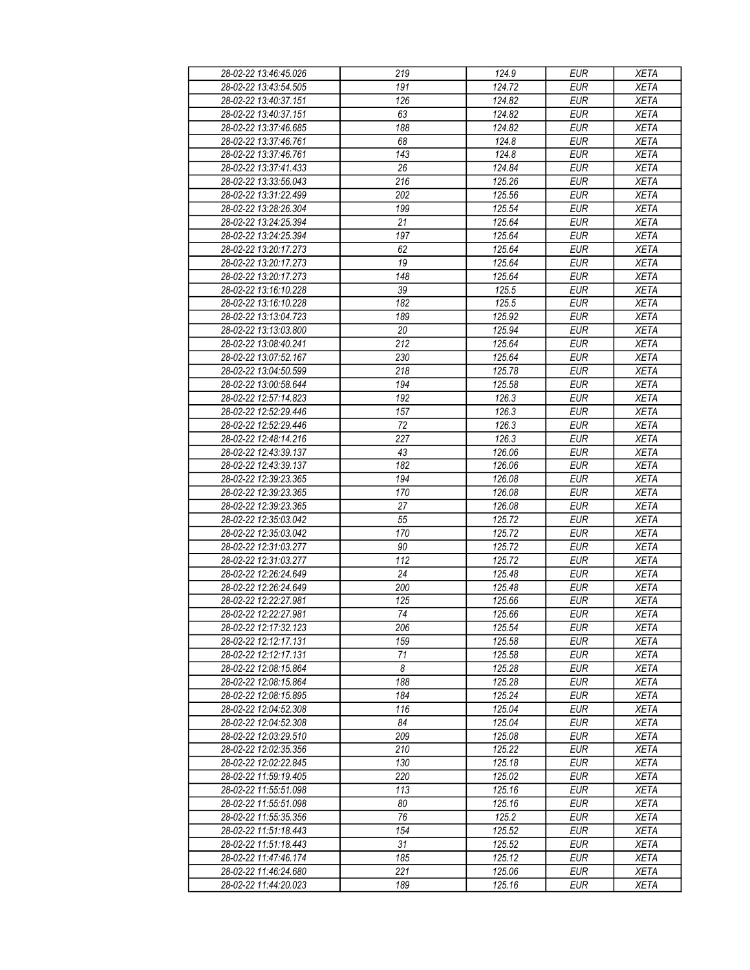| 28-02-22 13:46:45.026 | 219        | 124.9  | <b>EUR</b>               | <b>XETA</b> |
|-----------------------|------------|--------|--------------------------|-------------|
| 28-02-22 13:43:54.505 | 191        | 124.72 | <b>EUR</b>               | <b>XETA</b> |
| 28-02-22 13:40:37.151 | 126        | 124.82 | <b>EUR</b>               | <b>XETA</b> |
| 28-02-22 13:40:37.151 | 63         | 124.82 | <b>EUR</b>               | <b>XETA</b> |
| 28-02-22 13:37:46.685 | 188        | 124.82 | <b>EUR</b>               | <b>XETA</b> |
| 28-02-22 13:37:46.761 | 68         | 124.8  | <b>EUR</b>               | <b>XETA</b> |
| 28-02-22 13:37:46.761 | 143        | 124.8  | <b>EUR</b>               | <b>XETA</b> |
| 28-02-22 13:37:41.433 | 26         | 124.84 | <b>EUR</b>               | <b>XETA</b> |
| 28-02-22 13:33:56.043 | 216        | 125.26 | <b>EUR</b>               | <b>XETA</b> |
| 28-02-22 13:31:22.499 | 202        | 125.56 | <b>EUR</b>               | <b>XETA</b> |
| 28-02-22 13:28:26.304 | 199        | 125.54 | <b>EUR</b>               | <b>XETA</b> |
| 28-02-22 13:24:25.394 | 21         | 125.64 | <b>EUR</b>               | <b>XETA</b> |
| 28-02-22 13:24:25.394 | 197        | 125.64 | <b>EUR</b>               | <b>XETA</b> |
| 28-02-22 13:20:17.273 | 62         | 125.64 | <b>EUR</b>               | <b>XETA</b> |
| 28-02-22 13:20:17.273 | 19         | 125.64 | <b>EUR</b>               | <b>XETA</b> |
| 28-02-22 13:20:17.273 | 148        | 125.64 | <b>EUR</b>               | <b>XETA</b> |
| 28-02-22 13:16:10.228 | 39         | 125.5  | <b>EUR</b>               | <b>XETA</b> |
| 28-02-22 13:16:10.228 | 182        | 125.5  | <b>EUR</b>               | <b>XETA</b> |
| 28-02-22 13:13:04.723 | 189        | 125.92 | <b>EUR</b>               | <b>XETA</b> |
| 28-02-22 13:13:03.800 | 20         | 125.94 | <b>EUR</b>               | <b>XETA</b> |
| 28-02-22 13:08:40.241 | 212        | 125.64 | <b>EUR</b>               | <b>XETA</b> |
| 28-02-22 13:07:52.167 | 230        | 125.64 | <b>EUR</b>               | <b>XETA</b> |
| 28-02-22 13:04:50.599 | 218        | 125.78 | <b>EUR</b>               | <b>XETA</b> |
| 28-02-22 13:00:58.644 | 194        | 125.58 | <b>EUR</b>               | <b>XETA</b> |
|                       |            |        |                          |             |
| 28-02-22 12:57:14.823 | 192<br>157 | 126.3  | <b>EUR</b><br><b>EUR</b> | <b>XETA</b> |
| 28-02-22 12:52:29.446 | 72         | 126.3  |                          | <b>XETA</b> |
| 28-02-22 12:52:29.446 |            | 126.3  | <b>EUR</b>               | <b>XETA</b> |
| 28-02-22 12:48:14.216 | 227        | 126.3  | <b>EUR</b>               | <b>XETA</b> |
| 28-02-22 12:43:39.137 | 43         | 126.06 | <b>EUR</b>               | <b>XETA</b> |
| 28-02-22 12:43:39.137 | 182        | 126.06 | <b>EUR</b>               | <b>XETA</b> |
| 28-02-22 12:39:23.365 | 194        | 126.08 | <b>EUR</b>               | <b>XETA</b> |
| 28-02-22 12:39:23.365 | 170        | 126.08 | <b>EUR</b>               | <b>XETA</b> |
| 28-02-22 12:39:23.365 | 27         | 126.08 | <b>EUR</b>               | <b>XETA</b> |
| 28-02-22 12:35:03.042 | 55         | 125.72 | <b>EUR</b>               | <b>XETA</b> |
| 28-02-22 12:35:03.042 | 170        | 125.72 | <b>EUR</b>               | <b>XETA</b> |
| 28-02-22 12:31:03.277 | 90         | 125.72 | <b>EUR</b>               | <b>XETA</b> |
| 28-02-22 12:31:03.277 | 112        | 125.72 | <b>EUR</b>               | <b>XETA</b> |
| 28-02-22 12:26:24.649 | 24         | 125.48 | <b>EUR</b>               | <b>XETA</b> |
| 28-02-22 12:26:24.649 | 200        | 125.48 | <b>EUR</b>               | <b>XETA</b> |
| 28-02-22 12:22:27.981 | 125        | 125.66 | <b>EUR</b>               | <b>XETA</b> |
| 28-02-22 12:22:27.981 | 74         | 125.66 | <b>EUR</b>               | <b>XETA</b> |
| 28-02-22 12:17:32.123 | 206        | 125.54 | <b>EUR</b>               | <b>XETA</b> |
| 28-02-22 12:12:17.131 | 159        | 125.58 | <b>EUR</b>               | <b>XETA</b> |
| 28-02-22 12:12:17.131 | 71         | 125.58 | <b>EUR</b>               | <b>XETA</b> |
| 28-02-22 12:08:15.864 | 8          | 125.28 | <b>EUR</b>               | <b>XETA</b> |
| 28-02-22 12:08:15.864 | 188        | 125.28 | <b>EUR</b>               | <b>XETA</b> |
| 28-02-22 12:08:15.895 | 184        | 125.24 | <b>EUR</b>               | <b>XETA</b> |
| 28-02-22 12:04:52.308 | 116        | 125.04 | <b>EUR</b>               | <b>XETA</b> |
| 28-02-22 12:04:52.308 | 84         | 125.04 | <b>EUR</b>               | <b>XETA</b> |
| 28-02-22 12:03:29.510 | 209        | 125.08 | <b>EUR</b>               | <b>XETA</b> |
| 28-02-22 12:02:35.356 | 210        | 125.22 | <b>EUR</b>               | <b>XETA</b> |
| 28-02-22 12:02:22.845 | 130        | 125.18 | <b>EUR</b>               | <b>XETA</b> |
| 28-02-22 11:59:19.405 | 220        | 125.02 | <b>EUR</b>               | <b>XETA</b> |
| 28-02-22 11:55:51.098 | 113        | 125.16 | <b>EUR</b>               | <b>XETA</b> |
| 28-02-22 11:55:51.098 | 80         | 125.16 | <b>EUR</b>               | <b>XETA</b> |
| 28-02-22 11:55:35.356 | 76         | 125.2  | <b>EUR</b>               | <b>XETA</b> |
| 28-02-22 11:51:18.443 | 154        | 125.52 | <b>EUR</b>               | <b>XETA</b> |
| 28-02-22 11:51:18.443 | 31         | 125.52 | <b>EUR</b>               | <b>XETA</b> |
| 28-02-22 11:47:46.174 | 185        | 125.12 | <b>EUR</b>               | <b>XETA</b> |
| 28-02-22 11:46:24.680 | 221        | 125.06 | <b>EUR</b>               | <b>XETA</b> |
| 28-02-22 11:44:20.023 | 189        | 125.16 | <b>EUR</b>               | <b>XETA</b> |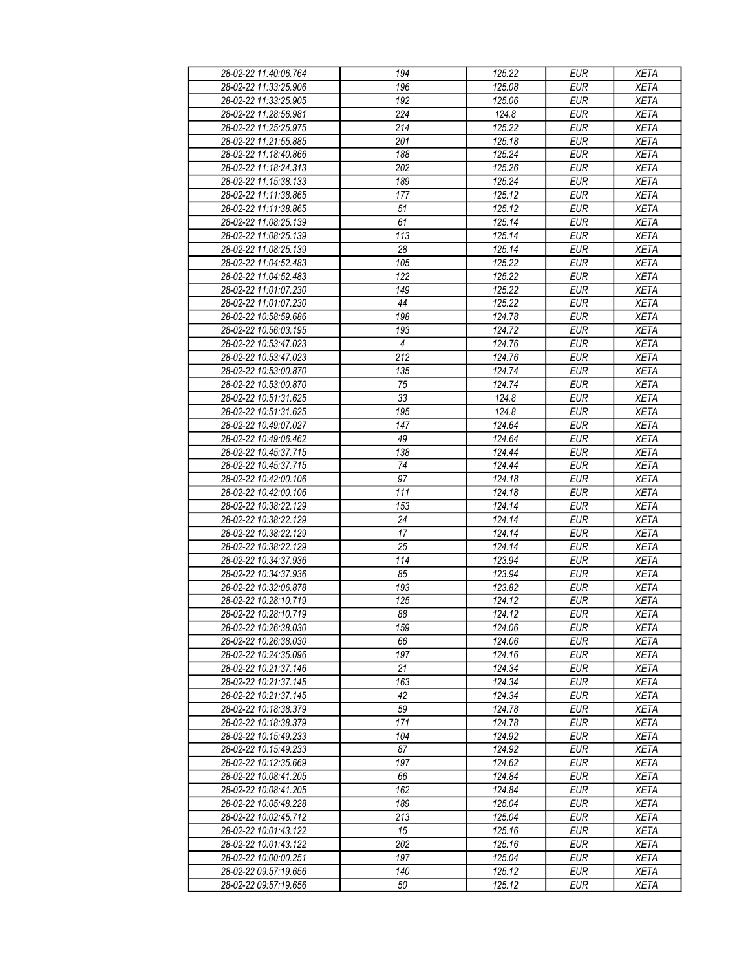| 28-02-22 11:40:06.764 | 194                   | 125.22 | <b>EUR</b> | <b>XETA</b> |
|-----------------------|-----------------------|--------|------------|-------------|
| 28-02-22 11:33:25.906 | 196                   | 125.08 | <b>EUR</b> | <b>XETA</b> |
| 28-02-22 11:33:25.905 | 192                   | 125.06 | <b>EUR</b> | <b>XETA</b> |
| 28-02-22 11:28:56.981 | 224                   | 124.8  | <b>EUR</b> | <b>XETA</b> |
| 28-02-22 11:25:25.975 | 214                   | 125.22 | <b>EUR</b> | <b>XETA</b> |
| 28-02-22 11:21:55.885 | 201                   | 125.18 | <b>EUR</b> | <b>XETA</b> |
| 28-02-22 11:18:40.866 | 188                   | 125.24 | <b>EUR</b> | <b>XETA</b> |
| 28-02-22 11:18:24.313 | 202                   | 125.26 | <b>EUR</b> | <b>XETA</b> |
| 28-02-22 11:15:38.133 | 189                   | 125.24 | <b>EUR</b> | <b>XETA</b> |
| 28-02-22 11:11:38.865 | 177                   | 125.12 | <b>EUR</b> | <b>XETA</b> |
| 28-02-22 11:11:38.865 | 51                    | 125.12 | <b>EUR</b> | <b>XETA</b> |
| 28-02-22 11:08:25.139 | 61                    | 125.14 | <b>EUR</b> | <b>XETA</b> |
| 28-02-22 11:08:25.139 | 113                   | 125.14 | <b>EUR</b> | <b>XETA</b> |
| 28-02-22 11:08:25.139 | 28                    | 125.14 | <b>EUR</b> | <b>XETA</b> |
| 28-02-22 11:04:52.483 | 105                   | 125.22 | <b>EUR</b> | <b>XETA</b> |
| 28-02-22 11:04:52.483 | 122                   | 125.22 | <b>EUR</b> | <b>XETA</b> |
| 28-02-22 11:01:07.230 | 149                   | 125.22 | <b>EUR</b> | <b>XETA</b> |
| 28-02-22 11:01:07.230 | 44                    | 125.22 | <b>EUR</b> | <b>XETA</b> |
| 28-02-22 10:58:59.686 | 198                   | 124.78 | <b>EUR</b> | <b>XETA</b> |
| 28-02-22 10:56:03.195 |                       |        |            |             |
|                       | 193<br>$\overline{4}$ | 124.72 | <b>EUR</b> | <b>XETA</b> |
| 28-02-22 10:53:47.023 |                       | 124.76 | <b>EUR</b> | <b>XETA</b> |
| 28-02-22 10:53:47.023 | 212                   | 124.76 | <b>EUR</b> | <b>XETA</b> |
| 28-02-22 10:53:00.870 | 135                   | 124.74 | <b>EUR</b> | <b>XETA</b> |
| 28-02-22 10:53:00.870 | 75                    | 124.74 | <b>EUR</b> | <b>XETA</b> |
| 28-02-22 10:51:31.625 | 33                    | 124.8  | <b>EUR</b> | <b>XETA</b> |
| 28-02-22 10:51:31.625 | 195                   | 124.8  | <b>EUR</b> | <b>XETA</b> |
| 28-02-22 10:49:07.027 | 147                   | 124.64 | <b>EUR</b> | <b>XETA</b> |
| 28-02-22 10:49:06.462 | 49                    | 124.64 | <b>EUR</b> | <b>XETA</b> |
| 28-02-22 10:45:37.715 | 138                   | 124.44 | <b>EUR</b> | <b>XETA</b> |
| 28-02-22 10:45:37.715 | 74                    | 124.44 | <b>EUR</b> | <b>XETA</b> |
| 28-02-22 10:42:00.106 | 97                    | 124.18 | <b>EUR</b> | <b>XETA</b> |
| 28-02-22 10:42:00.106 | 111                   | 124.18 | <b>EUR</b> | <b>XETA</b> |
| 28-02-22 10:38:22.129 | 153                   | 124.14 | <b>EUR</b> | <b>XETA</b> |
| 28-02-22 10:38:22.129 | 24                    | 124.14 | <b>EUR</b> | <b>XETA</b> |
| 28-02-22 10:38:22.129 | 17                    | 124.14 | <b>EUR</b> | <b>XETA</b> |
| 28-02-22 10:38:22.129 | 25                    | 124.14 | <b>EUR</b> | <b>XETA</b> |
| 28-02-22 10:34:37.936 | 114                   | 123.94 | <b>EUR</b> | <b>XETA</b> |
| 28-02-22 10:34:37.936 | 85                    | 123.94 | <b>EUR</b> | <b>XETA</b> |
| 28-02-22 10:32:06.878 | 193                   | 123.82 | <b>EUR</b> | <b>XETA</b> |
| 28-02-22 10:28:10.719 | $\overline{125}$      | 124.12 | <b>EUR</b> | <b>XETA</b> |
| 28-02-22 10:28:10.719 | 88                    | 124.12 | <b>EUR</b> | <b>XETA</b> |
| 28-02-22 10:26:38.030 | 159                   | 124.06 | <b>EUR</b> | <b>XETA</b> |
| 28-02-22 10:26:38.030 | 66                    | 124.06 | <b>EUR</b> | <b>XETA</b> |
| 28-02-22 10:24:35.096 | 197                   | 124.16 | <b>EUR</b> | <b>XETA</b> |
| 28-02-22 10:21:37.146 | 21                    | 124.34 | <b>EUR</b> | <b>XETA</b> |
| 28-02-22 10:21:37.145 | 163                   | 124.34 | <b>EUR</b> | <b>XETA</b> |
| 28-02-22 10:21:37.145 | 42                    | 124.34 | <b>EUR</b> | <b>XETA</b> |
| 28-02-22 10:18:38.379 | 59                    | 124.78 | <b>EUR</b> | <b>XETA</b> |
| 28-02-22 10:18:38.379 | 171                   | 124.78 | <b>EUR</b> | <b>XETA</b> |
| 28-02-22 10:15:49.233 | 104                   | 124.92 | <b>EUR</b> | <b>XETA</b> |
| 28-02-22 10:15:49.233 | 87                    | 124.92 | <b>EUR</b> | <b>XETA</b> |
| 28-02-22 10:12:35.669 | 197                   | 124.62 | <b>EUR</b> | <b>XETA</b> |
| 28-02-22 10:08:41.205 | 66                    | 124.84 | <b>EUR</b> | <b>XETA</b> |
| 28-02-22 10:08:41.205 | 162                   | 124.84 | <b>EUR</b> | <b>XETA</b> |
| 28-02-22 10:05:48.228 | 189                   | 125.04 | <b>EUR</b> | <b>XETA</b> |
| 28-02-22 10:02:45.712 | 213                   | 125.04 | <b>EUR</b> | <b>XETA</b> |
| 28-02-22 10:01:43.122 | 15                    | 125.16 | <b>EUR</b> | <b>XETA</b> |
| 28-02-22 10:01:43.122 | 202                   | 125.16 | <b>EUR</b> | <b>XETA</b> |
| 28-02-22 10:00:00.251 | 197                   | 125.04 | <b>EUR</b> | <b>XETA</b> |
| 28-02-22 09:57:19.656 | 140                   | 125.12 | <b>EUR</b> | <b>XETA</b> |
| 28-02-22 09:57:19.656 | 50                    | 125.12 | <b>EUR</b> | <b>XETA</b> |
|                       |                       |        |            |             |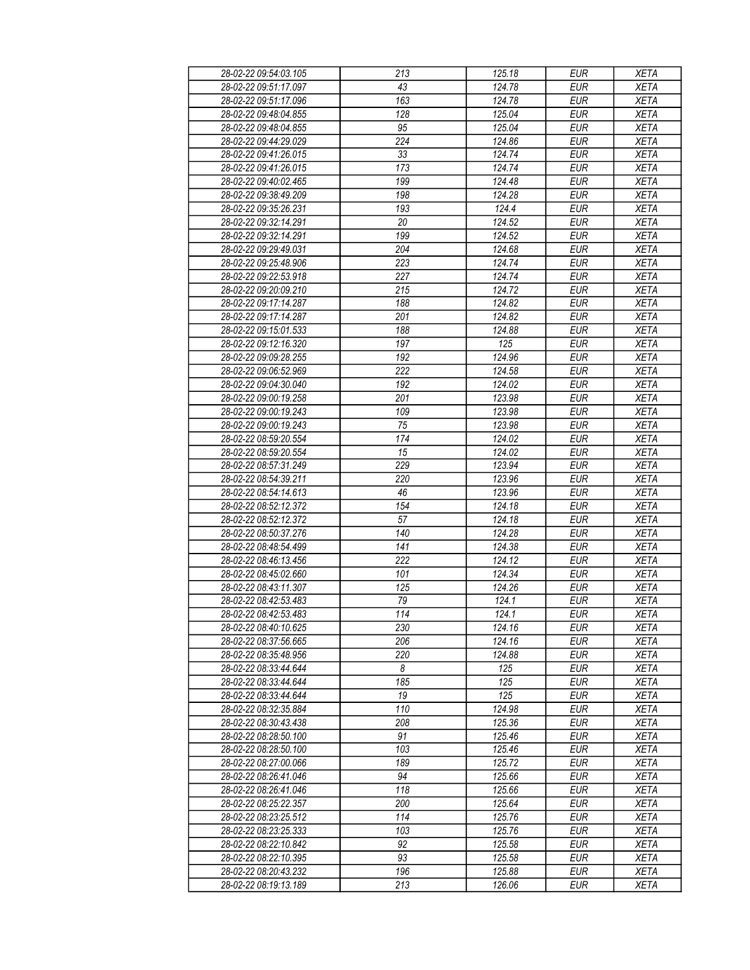| 28-02-22 09:54:03.105 | 213 | 125.18 | <b>EUR</b> | <b>XETA</b> |
|-----------------------|-----|--------|------------|-------------|
| 28-02-22 09:51:17.097 | 43  | 124.78 | <b>EUR</b> | <b>XETA</b> |
| 28-02-22 09:51:17.096 | 163 | 124.78 | <b>EUR</b> | <b>XETA</b> |
| 28-02-22 09:48:04.855 | 128 | 125.04 | <b>EUR</b> | <b>XETA</b> |
| 28-02-22 09:48:04.855 | 95  | 125.04 | <b>EUR</b> | <b>XETA</b> |
| 28-02-22 09:44:29.029 | 224 | 124.86 | <b>EUR</b> | <b>XETA</b> |
| 28-02-22 09:41:26.015 | 33  | 124.74 | <b>EUR</b> | <b>XETA</b> |
|                       | 173 | 124.74 | <b>EUR</b> |             |
| 28-02-22 09:41:26.015 |     |        |            | <b>XETA</b> |
| 28-02-22 09:40:02.465 | 199 | 124.48 | <b>EUR</b> | <b>XETA</b> |
| 28-02-22 09:38:49.209 | 198 | 124.28 | <b>EUR</b> | <b>XETA</b> |
| 28-02-22 09:35:26.231 | 193 | 124.4  | <b>EUR</b> | <b>XETA</b> |
| 28-02-22 09:32:14.291 | 20  | 124.52 | <b>EUR</b> | <b>XETA</b> |
| 28-02-22 09:32:14.291 | 199 | 124.52 | <b>EUR</b> | <b>XETA</b> |
| 28-02-22 09:29:49.031 | 204 | 124.68 | <b>EUR</b> | <b>XETA</b> |
| 28-02-22 09:25:48.906 | 223 | 124.74 | <b>EUR</b> | <b>XETA</b> |
| 28-02-22 09:22:53.918 | 227 | 124.74 | <b>EUR</b> | <b>XETA</b> |
| 28-02-22 09:20:09.210 | 215 | 124.72 | <b>EUR</b> | <b>XETA</b> |
| 28-02-22 09:17:14.287 | 188 | 124.82 | <b>EUR</b> | <b>XETA</b> |
| 28-02-22 09:17:14.287 | 201 | 124.82 | <b>EUR</b> | <b>XETA</b> |
| 28-02-22 09:15:01.533 | 188 | 124.88 | <b>EUR</b> | <b>XETA</b> |
| 28-02-22 09:12:16.320 | 197 | 125    | <b>EUR</b> | <b>XETA</b> |
| 28-02-22 09:09:28.255 | 192 | 124.96 | <b>EUR</b> | <b>XETA</b> |
| 28-02-22 09:06:52.969 | 222 | 124.58 | <b>EUR</b> | <b>XETA</b> |
| 28-02-22 09:04:30.040 | 192 | 124.02 | <b>EUR</b> | <b>XETA</b> |
| 28-02-22 09:00:19.258 | 201 | 123.98 | <b>EUR</b> | <b>XETA</b> |
| 28-02-22 09:00:19.243 | 109 | 123.98 | <b>EUR</b> | <b>XETA</b> |
| 28-02-22 09:00:19.243 | 75  | 123.98 | <b>EUR</b> | <b>XETA</b> |
| 28-02-22 08:59:20.554 | 174 | 124.02 | <b>EUR</b> | <b>XETA</b> |
| 28-02-22 08:59:20.554 | 15  | 124.02 | <b>EUR</b> | <b>XETA</b> |
| 28-02-22 08:57:31.249 | 229 | 123.94 | <b>EUR</b> | <b>XETA</b> |
| 28-02-22 08:54:39.211 | 220 | 123.96 | <b>EUR</b> | <b>XETA</b> |
| 28-02-22 08:54:14.613 | 46  | 123.96 | <b>EUR</b> | <b>XETA</b> |
| 28-02-22 08:52:12.372 | 154 | 124.18 | <b>EUR</b> | <b>XETA</b> |
| 28-02-22 08:52:12.372 | 57  | 124.18 | <b>EUR</b> | <b>XETA</b> |
| 28-02-22 08:50:37.276 | 140 | 124.28 | <b>EUR</b> | <b>XETA</b> |
|                       | 141 |        |            |             |
| 28-02-22 08:48:54.499 |     | 124.38 | <b>EUR</b> | <b>XETA</b> |
| 28-02-22 08:46:13.456 | 222 | 124.12 | <b>EUR</b> | <b>XETA</b> |
| 28-02-22 08:45:02.660 | 101 | 124.34 | <b>EUR</b> | <b>XETA</b> |
| 28-02-22 08:43:11.307 | 125 | 124.26 | <b>EUR</b> | <b>XETA</b> |
| 28-02-22 08:42:53.483 | 79  | 124.1  | <b>EUR</b> | <b>XETA</b> |
| 28-02-22 08:42:53.483 | 114 | 124.1  | <b>EUR</b> | <b>XETA</b> |
| 28-02-22 08:40:10.625 | 230 | 124.16 | <b>EUR</b> | <b>XETA</b> |
| 28-02-22 08:37:56.665 | 206 | 124.16 | <b>EUR</b> | <b>XETA</b> |
| 28-02-22 08:35:48.956 | 220 | 124.88 | <b>EUR</b> | <b>XETA</b> |
| 28-02-22 08:33:44.644 | 8   | 125    | <b>EUR</b> | <b>XETA</b> |
| 28-02-22 08:33:44.644 | 185 | 125    | <b>EUR</b> | <b>XETA</b> |
| 28-02-22 08:33:44.644 | 19  | 125    | <b>EUR</b> | <b>XETA</b> |
| 28-02-22 08:32:35.884 | 110 | 124.98 | <b>EUR</b> | <b>XETA</b> |
| 28-02-22 08:30:43.438 | 208 | 125.36 | <b>EUR</b> | <b>XETA</b> |
| 28-02-22 08:28:50.100 | 91  | 125.46 | <b>EUR</b> | <b>XETA</b> |
| 28-02-22 08:28:50.100 | 103 | 125.46 | <b>EUR</b> | <b>XETA</b> |
| 28-02-22 08:27:00.066 | 189 | 125.72 | <b>EUR</b> | <b>XETA</b> |
| 28-02-22 08:26:41.046 | 94  | 125.66 | <b>EUR</b> | <b>XETA</b> |
| 28-02-22 08:26:41.046 | 118 | 125.66 | <b>EUR</b> | <b>XETA</b> |
| 28-02-22 08:25:22.357 | 200 | 125.64 | <b>EUR</b> | <b>XETA</b> |
| 28-02-22 08:23:25.512 | 114 | 125.76 | <b>EUR</b> | <b>XETA</b> |
| 28-02-22 08:23:25.333 | 103 | 125.76 | <b>EUR</b> | <b>XETA</b> |
| 28-02-22 08:22:10.842 | 92  | 125.58 | <b>EUR</b> | <b>XETA</b> |
| 28-02-22 08:22:10.395 | 93  | 125.58 | <b>EUR</b> | <b>XETA</b> |
| 28-02-22 08:20:43.232 | 196 | 125.88 | <b>EUR</b> | <b>XETA</b> |
| 28-02-22 08:19:13.189 | 213 | 126.06 | <b>EUR</b> | <b>XETA</b> |
|                       |     |        |            |             |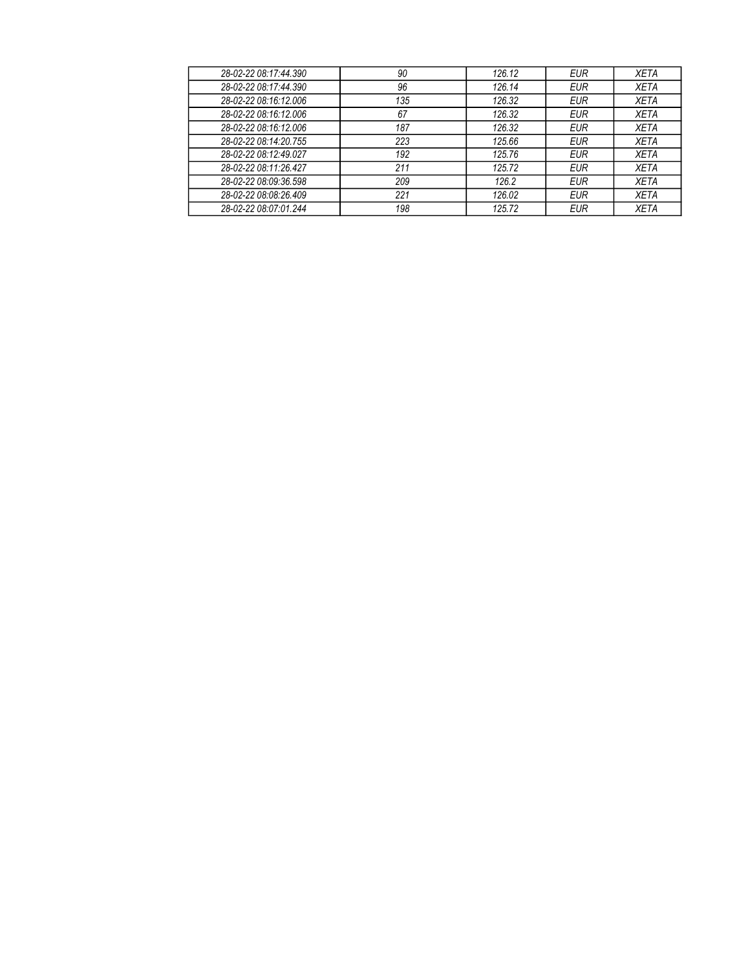| 28-02-22 08:17:44.390 | 90  | 126.12 | <b>EUR</b> | <b>XETA</b> |
|-----------------------|-----|--------|------------|-------------|
| 28-02-22 08:17:44.390 | 96  | 126.14 | <b>EUR</b> | <b>XETA</b> |
| 28-02-22 08:16:12.006 | 135 | 126.32 | <b>EUR</b> | <b>XETA</b> |
| 28-02-22 08:16:12.006 | 67  | 126.32 | <b>EUR</b> | <b>XETA</b> |
| 28-02-22 08:16:12.006 | 187 | 126.32 | <b>EUR</b> | <b>XETA</b> |
| 28-02-22 08:14:20.755 | 223 | 125.66 | <b>EUR</b> | <b>XETA</b> |
| 28-02-22 08:12:49.027 | 192 | 125.76 | <b>EUR</b> | <b>XETA</b> |
| 28-02-22 08:11:26.427 | 211 | 125.72 | <b>EUR</b> | <b>XETA</b> |
| 28-02-22 08:09:36.598 | 209 | 126.2  | <b>EUR</b> | <b>XETA</b> |
| 28-02-22 08:08:26.409 | 221 | 126.02 | <b>EUR</b> | <b>XETA</b> |
| 28-02-22 08:07:01.244 | 198 | 125.72 | <b>EUR</b> | <b>XETA</b> |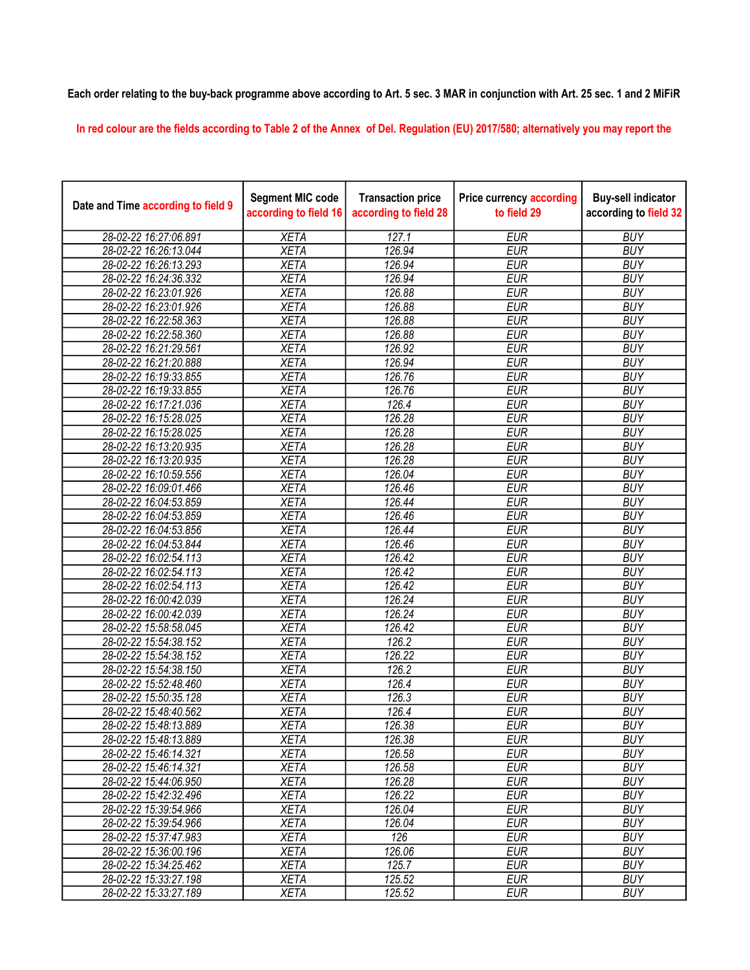## Each order relating to the buy-back programme above according to Art. 5 sec. 3 MAR in conjunction with Art. 25 sec. 1 and 2 MiFiR

In red colour are the fields according to Table 2 of the Annex of Del. Regulation (EU) 2017/580; alternatively you may report the

| Date and Time according to field 9 | <b>Segment MIC code</b><br>according to field 16 | <b>Transaction price</b><br>according to field 28 | <b>Price currency according</b><br>to field 29 | <b>Buy-sell indicator</b><br>according to field 32 |
|------------------------------------|--------------------------------------------------|---------------------------------------------------|------------------------------------------------|----------------------------------------------------|
| 28-02-22 16:27:06.891              | <b>XETA</b>                                      | 127.1                                             | <b>EUR</b>                                     | <b>BUY</b>                                         |
| 28-02-22 16:26:13.044              | <b>XETA</b>                                      | 126.94                                            | <b>EUR</b>                                     | <b>BUY</b>                                         |
| 28-02-22 16:26:13.293              | <b>XETA</b>                                      | 126.94                                            | <b>EUR</b>                                     | <b>BUY</b>                                         |
| 28-02-22 16:24:36.332              | <b>XETA</b>                                      | 126.94                                            | <b>EUR</b>                                     | <b>BUY</b>                                         |
| 28-02-22 16:23:01.926              | <b>XETA</b>                                      | 126.88                                            | <b>EUR</b>                                     | <b>BUY</b>                                         |
| 28-02-22 16:23:01.926              | <b>XETA</b>                                      | 126.88                                            | <b>EUR</b>                                     | <b>BUY</b>                                         |
| 28-02-22 16:22:58.363              | <b>XETA</b>                                      | 126.88                                            | <b>EUR</b>                                     | <b>BUY</b>                                         |
| 28-02-22 16:22:58.360              | <b>XETA</b>                                      | 126.88                                            | <b>EUR</b>                                     | <b>BUY</b>                                         |
| 28-02-22 16:21:29.561              | <b>XETA</b>                                      | 126.92                                            | <b>EUR</b>                                     | <b>BUY</b>                                         |
| 28-02-22 16:21:20.888              | <b>XETA</b>                                      | 126.94                                            | <b>EUR</b>                                     | <b>BUY</b>                                         |
| 28-02-22 16:19:33.855              | <b>XETA</b>                                      | 126.76                                            | <b>EUR</b>                                     | <b>BUY</b>                                         |
| 28-02-22 16:19:33.855              | <b>XETA</b>                                      | 126.76                                            | <b>EUR</b>                                     | <b>BUY</b>                                         |
| 28-02-22 16:17:21.036              | <b>XETA</b>                                      | 126.4                                             | <b>EUR</b>                                     | <b>BUY</b>                                         |
| 28-02-22 16:15:28.025              | <b>XETA</b>                                      | 126.28                                            | <b>EUR</b>                                     | <b>BUY</b>                                         |
| 28-02-22 16:15:28.025              | <b>XETA</b>                                      | 126.28                                            | <b>EUR</b>                                     | <b>BUY</b>                                         |
| 28-02-22 16:13:20.935              | <b>XETA</b>                                      | 126.28                                            | <b>EUR</b>                                     | <b>BUY</b>                                         |
| 28-02-22 16:13:20.935              | <b>XETA</b>                                      | 126.28                                            | <b>EUR</b>                                     | <b>BUY</b>                                         |
| 28-02-22 16:10:59.556              | <b>XETA</b>                                      | 126.04                                            | <b>EUR</b>                                     | <b>BUY</b>                                         |
| 28-02-22 16:09:01.466              | <b>XETA</b>                                      | 126.46                                            | <b>EUR</b>                                     | <b>BUY</b>                                         |
| 28-02-22 16:04:53.859              | <b>XETA</b>                                      | 126.44                                            | <b>EUR</b>                                     | <b>BUY</b>                                         |
| 28-02-22 16:04:53.859              | <b>XETA</b>                                      | 126.46                                            | <b>EUR</b>                                     | <b>BUY</b>                                         |
| 28-02-22 16:04:53.856              | <b>XETA</b>                                      | 126.44                                            | <b>EUR</b>                                     | <b>BUY</b>                                         |
| 28-02-22 16:04:53.844              | <b>XETA</b>                                      | 126.46                                            | <b>EUR</b>                                     | <b>BUY</b>                                         |
| 28-02-22 16:02:54.113              | <b>XETA</b>                                      | 126.42                                            | <b>EUR</b>                                     | <b>BUY</b>                                         |
| 28-02-22 16:02:54.113              | <b>XETA</b>                                      | 126.42                                            | <b>EUR</b>                                     | <b>BUY</b>                                         |
| 28-02-22 16:02:54.113              | <b>XETA</b>                                      | 126.42                                            | <b>EUR</b>                                     | <b>BUY</b>                                         |
| 28-02-22 16:00:42.039              | <b>XETA</b>                                      | 126.24                                            | <b>EUR</b>                                     | <b>BUY</b>                                         |
| 28-02-22 16:00:42.039              | <b>XETA</b>                                      | 126.24                                            | <b>EUR</b>                                     | <b>BUY</b>                                         |
| 28-02-22 15:58:58.045              | <b>XETA</b>                                      | 126.42                                            | <b>EUR</b>                                     | <b>BUY</b>                                         |
| 28-02-22 15:54:38.152              | <b>XETA</b>                                      | 126.2                                             | <b>EUR</b>                                     | <b>BUY</b>                                         |
| 28-02-22 15:54:38.152              | <b>XETA</b>                                      | 126.22                                            | <b>EUR</b>                                     | <b>BUY</b>                                         |
| 28-02-22 15:54:38.150              | <b>XETA</b>                                      | 126.2                                             | <b>EUR</b>                                     | <b>BUY</b>                                         |
| 28-02-22 15:52:48.460              | <b>XETA</b>                                      | 126.4                                             | <b>EUR</b>                                     | <b>BUY</b>                                         |
| 28-02-22 15:50:35.128              | <b>XETA</b>                                      | 126.3                                             | <b>EUR</b>                                     | <b>BUY</b>                                         |
| 28-02-22 15:48:40.562              | <b>XETA</b>                                      | 126.4                                             | <b>EUR</b>                                     | <b>BUY</b>                                         |
| 28-02-22 15:48:13.889              | XETA                                             | 126.38                                            | <b>EUR</b>                                     | <b>BUY</b>                                         |
| 28-02-22 15:48:13.889              | <b>XETA</b>                                      | 126.38                                            | <b>EUR</b>                                     | <b>BUY</b>                                         |
| 28-02-22 15:46:14.321              | <b>XETA</b>                                      | 126.58                                            | <b>EUR</b>                                     | <b>BUY</b>                                         |
| 28-02-22 15:46:14.321              | <b>XETA</b>                                      | 126.58                                            | <b>EUR</b>                                     | <b>BUY</b>                                         |
| 28-02-22 15:44:06.950              | <b>XETA</b>                                      | 126.28                                            | <b>EUR</b>                                     | <b>BUY</b>                                         |
| 28-02-22 15:42:32.496              | <b>XETA</b>                                      | 126.22                                            | <b>EUR</b>                                     | <b>BUY</b>                                         |
| 28-02-22 15:39:54.966              | <b>XETA</b>                                      | 126.04                                            | <b>EUR</b>                                     | <b>BUY</b>                                         |
| 28-02-22 15:39:54.966              | <b>XETA</b>                                      | 126.04                                            | <b>EUR</b>                                     | <b>BUY</b>                                         |
| 28-02-22 15:37:47.983              | <b>XETA</b>                                      | 126                                               | <b>EUR</b>                                     | <b>BUY</b>                                         |
| 28-02-22 15:36:00.196              | <b>XETA</b>                                      | 126.06                                            | <b>EUR</b>                                     | <b>BUY</b>                                         |
| 28-02-22 15:34:25.462              | <b>XETA</b>                                      | 125.7                                             | <b>EUR</b>                                     | <b>BUY</b>                                         |
| 28-02-22 15:33:27.198              | <b>XETA</b>                                      | 125.52                                            | <b>EUR</b>                                     | <b>BUY</b>                                         |
| 28-02-22 15:33:27.189              | <b>XETA</b>                                      | 125.52                                            | <b>EUR</b>                                     | <b>BUY</b>                                         |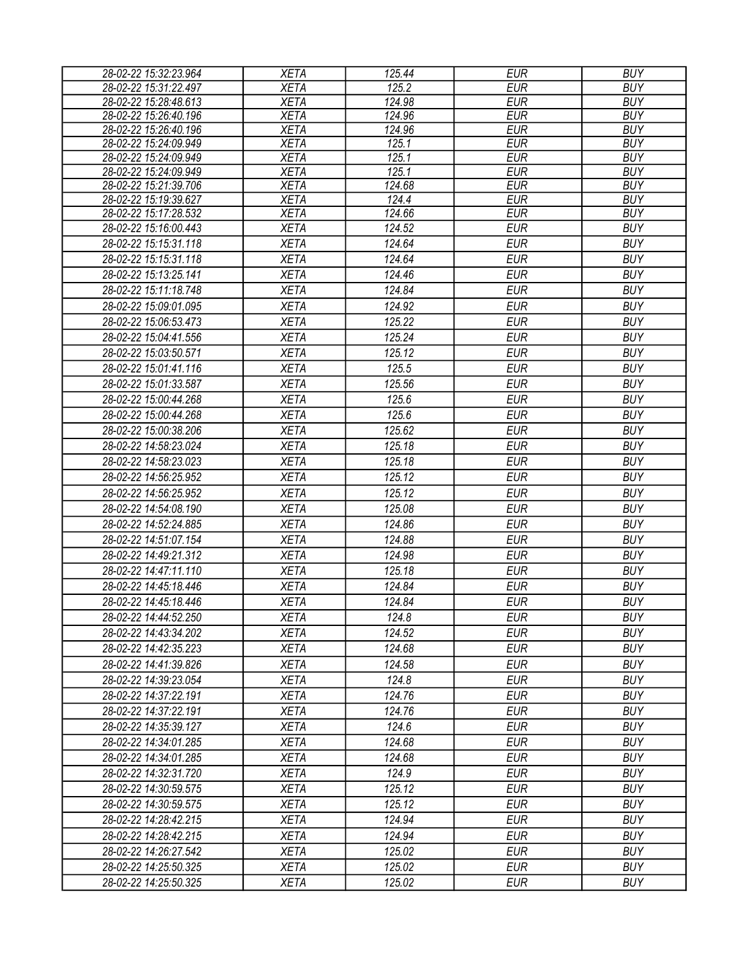| 28-02-22 15:32:23.964 | <b>XETA</b> | 125.44 | <b>EUR</b> | <b>BUY</b> |
|-----------------------|-------------|--------|------------|------------|
| 28-02-22 15:31:22.497 | <b>XETA</b> | 125.2  | <b>EUR</b> | <b>BUY</b> |
| 28-02-22 15:28:48.613 | <b>XETA</b> | 124.98 | <b>EUR</b> | <b>BUY</b> |
| 28-02-22 15:26:40.196 | <b>XETA</b> | 124.96 | <b>EUR</b> | <b>BUY</b> |
| 28-02-22 15:26:40.196 | <b>XETA</b> | 124.96 | <b>EUR</b> | <b>BUY</b> |
| 28-02-22 15:24:09.949 | <b>XETA</b> | 125.1  | <b>EUR</b> | <b>BUY</b> |
| 28-02-22 15:24:09.949 | <b>XETA</b> | 125.1  | <b>EUR</b> | <b>BUY</b> |
| 28-02-22 15:24:09.949 | <b>XETA</b> | 125.1  | <b>EUR</b> | <b>BUY</b> |
| 28-02-22 15:21:39.706 | <b>XETA</b> | 124.68 | <b>EUR</b> | <b>BUY</b> |
| 28-02-22 15:19:39.627 | <b>XETA</b> | 124.4  | <b>EUR</b> | <b>BUY</b> |
| 28-02-22 15:17:28.532 | <b>XETA</b> | 124.66 | <b>EUR</b> | <b>BUY</b> |
| 28-02-22 15:16:00.443 | <b>XETA</b> | 124.52 | <b>EUR</b> | <b>BUY</b> |
| 28-02-22 15:15:31.118 | <b>XETA</b> | 124.64 | <b>EUR</b> | <b>BUY</b> |
| 28-02-22 15:15:31.118 | <b>XETA</b> | 124.64 | <b>EUR</b> | <b>BUY</b> |
| 28-02-22 15:13:25.141 | <b>XETA</b> | 124.46 | <b>EUR</b> | <b>BUY</b> |
| 28-02-22 15:11:18.748 | <b>XETA</b> | 124.84 | <b>EUR</b> | <b>BUY</b> |
| 28-02-22 15:09:01.095 | <b>XETA</b> | 124.92 | <b>EUR</b> | <b>BUY</b> |
| 28-02-22 15:06:53.473 | <b>XETA</b> | 125.22 | <b>EUR</b> | <b>BUY</b> |
| 28-02-22 15:04:41.556 | <b>XETA</b> | 125.24 | <b>EUR</b> | <b>BUY</b> |
| 28-02-22 15:03:50.571 | <b>XETA</b> | 125.12 | <b>EUR</b> | <b>BUY</b> |
| 28-02-22 15:01:41.116 | <b>XETA</b> | 125.5  | <b>EUR</b> | <b>BUY</b> |
| 28-02-22 15:01:33.587 | <b>XETA</b> | 125.56 | <b>EUR</b> | <b>BUY</b> |
| 28-02-22 15:00:44.268 | <b>XETA</b> | 125.6  | <b>EUR</b> | <b>BUY</b> |
| 28-02-22 15:00:44.268 | <b>XETA</b> | 125.6  | <b>EUR</b> | <b>BUY</b> |
| 28-02-22 15:00:38.206 | <b>XETA</b> | 125.62 | <b>EUR</b> | <b>BUY</b> |
| 28-02-22 14:58:23.024 | <b>XETA</b> | 125.18 | <b>EUR</b> | <b>BUY</b> |
| 28-02-22 14:58:23.023 | <b>XETA</b> | 125.18 | <b>EUR</b> | <b>BUY</b> |
| 28-02-22 14:56:25.952 | <b>XETA</b> | 125.12 | <b>EUR</b> | <b>BUY</b> |
| 28-02-22 14:56:25.952 | <b>XETA</b> | 125.12 | <b>EUR</b> | <b>BUY</b> |
| 28-02-22 14:54:08.190 | <b>XETA</b> | 125.08 | <b>EUR</b> | <b>BUY</b> |
|                       |             |        |            |            |
| 28-02-22 14:52:24.885 | <b>XETA</b> | 124.86 | <b>EUR</b> | <b>BUY</b> |
| 28-02-22 14:51:07.154 | <b>XETA</b> | 124.88 | <b>EUR</b> | <b>BUY</b> |
| 28-02-22 14:49:21.312 | <b>XETA</b> | 124.98 | <b>EUR</b> | <b>BUY</b> |
| 28-02-22 14:47:11.110 | <b>XETA</b> | 125.18 | <b>EUR</b> | <b>BUY</b> |
| 28-02-22 14:45:18.446 | <b>XETA</b> | 124.84 | <b>EUR</b> | <b>BUY</b> |
| 28-02-22 14:45:18.446 | <b>XETA</b> | 124.84 | <b>EUR</b> | <b>BUY</b> |
| 28-02-22 14:44:52.250 | <b>XETA</b> | 124.8  | EUR        | <b>BUY</b> |
| 28-02-22 14:43:34.202 | <b>XETA</b> | 124.52 | <b>EUR</b> | <b>BUY</b> |
| 28-02-22 14:42:35.223 | <b>XETA</b> | 124.68 | <b>EUR</b> | <b>BUY</b> |
| 28-02-22 14:41:39.826 | <b>XETA</b> | 124.58 | <b>EUR</b> | <b>BUY</b> |
| 28-02-22 14:39:23.054 | <b>XETA</b> | 124.8  | <b>EUR</b> | <b>BUY</b> |
| 28-02-22 14:37:22.191 | <b>XETA</b> | 124.76 | <b>EUR</b> | <b>BUY</b> |
| 28-02-22 14:37:22.191 | <b>XETA</b> | 124.76 | <b>EUR</b> | <b>BUY</b> |
| 28-02-22 14:35:39.127 | <b>XETA</b> | 124.6  | <b>EUR</b> | <b>BUY</b> |
| 28-02-22 14:34:01.285 | <b>XETA</b> | 124.68 | <b>EUR</b> | <b>BUY</b> |
| 28-02-22 14:34:01.285 | <b>XETA</b> | 124.68 | <b>EUR</b> | <b>BUY</b> |
| 28-02-22 14:32:31.720 | <b>XETA</b> | 124.9  | EUR        | <b>BUY</b> |
| 28-02-22 14:30:59.575 | <b>XETA</b> | 125.12 | <b>EUR</b> | <b>BUY</b> |
| 28-02-22 14:30:59.575 | <b>XETA</b> | 125.12 | <b>EUR</b> | <b>BUY</b> |
| 28-02-22 14:28:42.215 | <b>XETA</b> | 124.94 | <b>EUR</b> | <b>BUY</b> |
| 28-02-22 14:28:42.215 | <b>XETA</b> | 124.94 | <b>EUR</b> | <b>BUY</b> |
| 28-02-22 14:26:27.542 | <b>XETA</b> | 125.02 | <b>EUR</b> | <b>BUY</b> |
| 28-02-22 14:25:50.325 | <b>XETA</b> | 125.02 | <b>EUR</b> | <b>BUY</b> |
| 28-02-22 14:25:50.325 | XETA        | 125.02 | <b>EUR</b> | <b>BUY</b> |
|                       |             |        |            |            |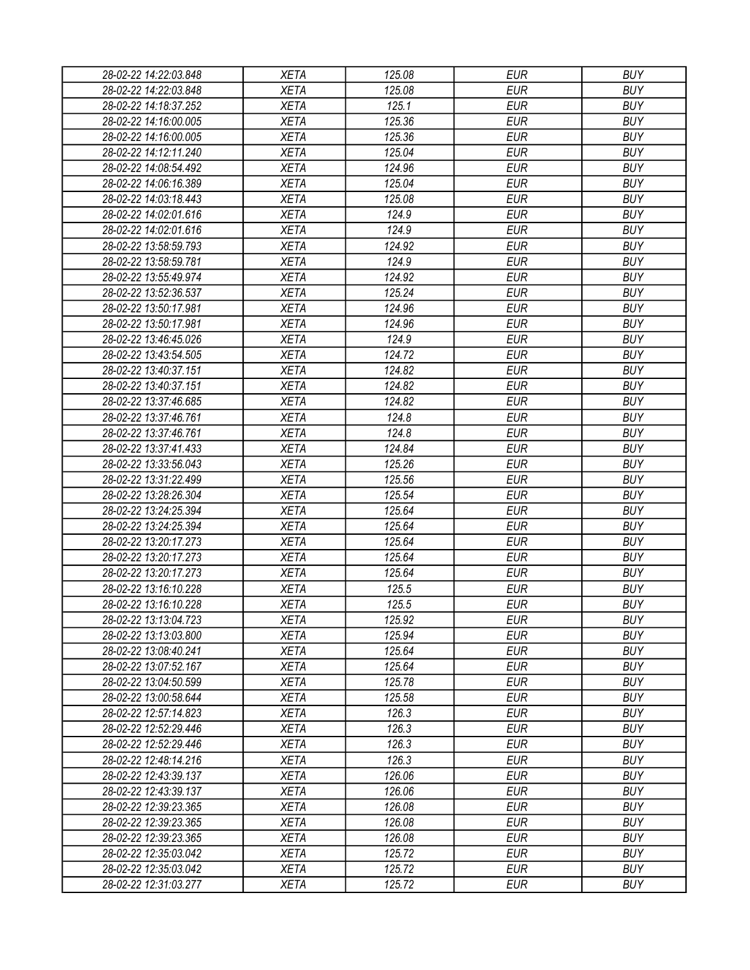| 28-02-22 14:22:03.848 | <b>XETA</b> | 125.08 | <b>EUR</b> | <b>BUY</b> |
|-----------------------|-------------|--------|------------|------------|
| 28-02-22 14:22:03.848 | <b>XETA</b> | 125.08 | <b>EUR</b> | <b>BUY</b> |
| 28-02-22 14:18:37.252 | <b>XETA</b> | 125.1  | <b>EUR</b> | <b>BUY</b> |
| 28-02-22 14:16:00.005 | <b>XETA</b> | 125.36 | <b>EUR</b> | <b>BUY</b> |
| 28-02-22 14:16:00.005 | <b>XETA</b> | 125.36 | <b>EUR</b> | <b>BUY</b> |
| 28-02-22 14:12:11.240 | <b>XETA</b> | 125.04 | <b>EUR</b> | <b>BUY</b> |
| 28-02-22 14:08:54.492 | <b>XETA</b> | 124.96 | <b>EUR</b> | <b>BUY</b> |
| 28-02-22 14:06:16.389 | <b>XETA</b> | 125.04 | <b>EUR</b> | <b>BUY</b> |
| 28-02-22 14:03:18.443 | <b>XETA</b> | 125.08 | <b>EUR</b> | <b>BUY</b> |
| 28-02-22 14:02:01.616 | <b>XETA</b> | 124.9  | <b>EUR</b> | <b>BUY</b> |
| 28-02-22 14:02:01.616 | <b>XETA</b> | 124.9  | <b>EUR</b> | <b>BUY</b> |
| 28-02-22 13:58:59.793 | <b>XETA</b> | 124.92 | <b>EUR</b> | <b>BUY</b> |
| 28-02-22 13:58:59.781 | <b>XETA</b> | 124.9  | <b>EUR</b> | <b>BUY</b> |
| 28-02-22 13:55:49.974 | <b>XETA</b> | 124.92 | <b>EUR</b> | <b>BUY</b> |
| 28-02-22 13:52:36.537 | <b>XETA</b> | 125.24 | <b>EUR</b> | <b>BUY</b> |
| 28-02-22 13:50:17.981 | <b>XETA</b> | 124.96 | <b>EUR</b> | <b>BUY</b> |
| 28-02-22 13:50:17.981 | <b>XETA</b> | 124.96 | <b>EUR</b> | <b>BUY</b> |
| 28-02-22 13:46:45.026 | <b>XETA</b> | 124.9  | <b>EUR</b> | <b>BUY</b> |
| 28-02-22 13:43:54.505 | <b>XETA</b> | 124.72 | <b>EUR</b> | <b>BUY</b> |
| 28-02-22 13:40:37.151 | <b>XETA</b> | 124.82 | <b>EUR</b> | <b>BUY</b> |
| 28-02-22 13:40:37.151 | <b>XETA</b> | 124.82 | <b>EUR</b> | <b>BUY</b> |
| 28-02-22 13:37:46.685 | <b>XETA</b> | 124.82 | <b>EUR</b> | <b>BUY</b> |
|                       |             | 124.8  | <b>EUR</b> | <b>BUY</b> |
| 28-02-22 13:37:46.761 | <b>XETA</b> |        |            |            |
| 28-02-22 13:37:46.761 | <b>XETA</b> | 124.8  | <b>EUR</b> | <b>BUY</b> |
| 28-02-22 13:37:41.433 | <b>XETA</b> | 124.84 | <b>EUR</b> | <b>BUY</b> |
| 28-02-22 13:33:56.043 | <b>XETA</b> | 125.26 | <b>EUR</b> | <b>BUY</b> |
| 28-02-22 13:31:22.499 | <b>XETA</b> | 125.56 | <b>EUR</b> | <b>BUY</b> |
| 28-02-22 13:28:26.304 | <b>XETA</b> | 125.54 | <b>EUR</b> | <b>BUY</b> |
| 28-02-22 13:24:25.394 | <b>XETA</b> | 125.64 | <b>EUR</b> | <b>BUY</b> |
| 28-02-22 13:24:25.394 | <b>XETA</b> | 125.64 | <b>EUR</b> | <b>BUY</b> |
| 28-02-22 13:20:17.273 | <b>XETA</b> | 125.64 | <b>EUR</b> | <b>BUY</b> |
| 28-02-22 13:20:17.273 | <b>XETA</b> | 125.64 | <b>EUR</b> | <b>BUY</b> |
| 28-02-22 13:20:17.273 | <b>XETA</b> | 125.64 | <b>EUR</b> | <b>BUY</b> |
| 28-02-22 13:16:10.228 | <b>XETA</b> | 125.5  | <b>EUR</b> | <b>BUY</b> |
| 28-02-22 13:16:10.228 | <b>XETA</b> | 125.5  | <b>EUR</b> | <b>BUY</b> |
| 28-02-22 13:13:04.723 | <b>XETA</b> | 125.92 | <b>EUR</b> | <b>BUY</b> |
| 28-02-22 13:13:03.800 | <b>XETA</b> | 125.94 | <b>EUR</b> | <b>BUY</b> |
| 28-02-22 13:08:40.241 | <b>XETA</b> | 125.64 | <b>EUR</b> | <b>BUY</b> |
| 28-02-22 13:07:52.167 | <b>XETA</b> | 125.64 | <b>EUR</b> | <b>BUY</b> |
| 28-02-22 13:04:50.599 | <b>XETA</b> | 125.78 | <b>EUR</b> | <b>BUY</b> |
| 28-02-22 13:00:58.644 | <b>XETA</b> | 125.58 | <b>EUR</b> | <b>BUY</b> |
| 28-02-22 12:57:14.823 | <b>XETA</b> | 126.3  | <b>EUR</b> | <b>BUY</b> |
| 28-02-22 12:52:29.446 | <b>XETA</b> | 126.3  | <b>EUR</b> | <b>BUY</b> |
| 28-02-22 12:52:29.446 | <b>XETA</b> | 126.3  | <b>EUR</b> | <b>BUY</b> |
| 28-02-22 12:48:14.216 | <b>XETA</b> | 126.3  | <b>EUR</b> | <b>BUY</b> |
| 28-02-22 12:43:39.137 | <b>XETA</b> | 126.06 | <b>EUR</b> | <b>BUY</b> |
| 28-02-22 12:43:39.137 | <b>XETA</b> | 126.06 | <b>EUR</b> | <b>BUY</b> |
| 28-02-22 12:39:23.365 | XETA        | 126.08 | <b>EUR</b> | <b>BUY</b> |
| 28-02-22 12:39:23.365 | <b>XETA</b> | 126.08 | <b>EUR</b> | <b>BUY</b> |
| 28-02-22 12:39:23.365 | <b>XETA</b> | 126.08 | <b>EUR</b> | <b>BUY</b> |
| 28-02-22 12:35:03.042 | <b>XETA</b> | 125.72 | <b>EUR</b> | <b>BUY</b> |
| 28-02-22 12:35:03.042 | XETA        | 125.72 | <b>EUR</b> | <b>BUY</b> |
| 28-02-22 12:31:03.277 | XETA        | 125.72 | <b>EUR</b> | <b>BUY</b> |
|                       |             |        |            |            |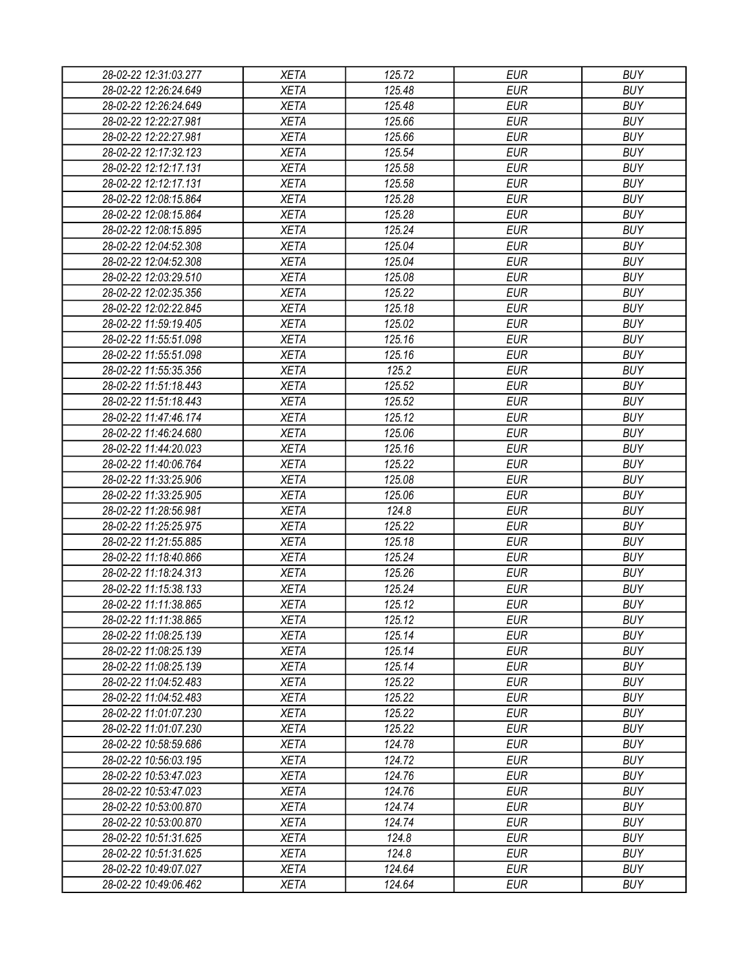| 28-02-22 12:31:03.277 | <b>XETA</b> | 125.72 | <b>EUR</b> | <b>BUY</b> |
|-----------------------|-------------|--------|------------|------------|
| 28-02-22 12:26:24.649 | <b>XETA</b> | 125.48 | <b>EUR</b> | <b>BUY</b> |
| 28-02-22 12:26:24.649 | <b>XETA</b> | 125.48 | <b>EUR</b> | <b>BUY</b> |
| 28-02-22 12:22:27.981 | <b>XETA</b> | 125.66 | <b>EUR</b> | <b>BUY</b> |
| 28-02-22 12:22:27.981 | <b>XETA</b> | 125.66 | <b>EUR</b> | <b>BUY</b> |
| 28-02-22 12:17:32.123 | <b>XETA</b> | 125.54 | <b>EUR</b> | <b>BUY</b> |
| 28-02-22 12:12:17.131 | <b>XETA</b> | 125.58 | <b>EUR</b> | <b>BUY</b> |
| 28-02-22 12:12:17.131 | <b>XETA</b> | 125.58 | <b>EUR</b> | <b>BUY</b> |
| 28-02-22 12:08:15.864 | <b>XETA</b> | 125.28 | <b>EUR</b> | <b>BUY</b> |
| 28-02-22 12:08:15.864 | <b>XETA</b> | 125.28 | <b>EUR</b> | <b>BUY</b> |
| 28-02-22 12:08:15.895 | <b>XETA</b> | 125.24 | <b>EUR</b> | <b>BUY</b> |
| 28-02-22 12:04:52.308 | <b>XETA</b> | 125.04 | <b>EUR</b> | <b>BUY</b> |
| 28-02-22 12:04:52.308 | <b>XETA</b> | 125.04 | <b>EUR</b> | <b>BUY</b> |
| 28-02-22 12:03:29.510 | <b>XETA</b> | 125.08 | <b>EUR</b> | <b>BUY</b> |
| 28-02-22 12:02:35.356 | <b>XETA</b> | 125.22 | <b>EUR</b> | <b>BUY</b> |
| 28-02-22 12:02:22.845 | <b>XETA</b> | 125.18 | <b>EUR</b> | <b>BUY</b> |
| 28-02-22 11:59:19.405 | <b>XETA</b> | 125.02 | <b>EUR</b> | <b>BUY</b> |
| 28-02-22 11:55:51.098 | <b>XETA</b> | 125.16 | <b>EUR</b> | <b>BUY</b> |
| 28-02-22 11:55:51.098 | <b>XETA</b> | 125.16 | <b>EUR</b> | <b>BUY</b> |
| 28-02-22 11:55:35.356 | <b>XETA</b> | 125.2  | <b>EUR</b> | <b>BUY</b> |
| 28-02-22 11:51:18.443 | <b>XETA</b> | 125.52 | <b>EUR</b> | <b>BUY</b> |
| 28-02-22 11:51:18.443 | <b>XETA</b> | 125.52 | <b>EUR</b> | <b>BUY</b> |
| 28-02-22 11:47:46.174 | <b>XETA</b> | 125.12 | <b>EUR</b> | <b>BUY</b> |
| 28-02-22 11:46:24.680 | <b>XETA</b> | 125.06 | <b>EUR</b> | <b>BUY</b> |
| 28-02-22 11:44:20.023 | <b>XETA</b> | 125.16 | <b>EUR</b> | <b>BUY</b> |
| 28-02-22 11:40:06.764 | <b>XETA</b> | 125.22 | <b>EUR</b> | <b>BUY</b> |
| 28-02-22 11:33:25.906 | <b>XETA</b> | 125.08 | <b>EUR</b> | <b>BUY</b> |
| 28-02-22 11:33:25.905 | <b>XETA</b> | 125.06 | <b>EUR</b> | <b>BUY</b> |
| 28-02-22 11:28:56.981 | <b>XETA</b> | 124.8  | <b>EUR</b> | <b>BUY</b> |
| 28-02-22 11:25:25.975 | <b>XETA</b> | 125.22 | <b>EUR</b> | <b>BUY</b> |
| 28-02-22 11:21:55.885 | <b>XETA</b> | 125.18 | <b>EUR</b> | <b>BUY</b> |
| 28-02-22 11:18:40.866 | <b>XETA</b> | 125.24 | <b>EUR</b> | <b>BUY</b> |
| 28-02-22 11:18:24.313 | <b>XETA</b> | 125.26 | <b>EUR</b> | <b>BUY</b> |
| 28-02-22 11:15:38.133 | <b>XETA</b> | 125.24 | <b>EUR</b> | <b>BUY</b> |
| 28-02-22 11:11:38.865 | <b>XETA</b> | 125.12 | <b>EUR</b> | <b>BUY</b> |
| 28-02-22 11:11:38.865 |             | 125.12 | <b>EUR</b> | <b>BUY</b> |
|                       | <b>XETA</b> | 125.14 | <b>EUR</b> | <b>BUY</b> |
| 28-02-22 11:08:25.139 | <b>XETA</b> | 125.14 | <b>EUR</b> | <b>BUY</b> |
| 28-02-22 11:08:25.139 | <b>XETA</b> |        |            |            |
| 28-02-22 11:08:25.139 | <b>XETA</b> | 125.14 | <b>EUR</b> | <b>BUY</b> |
| 28-02-22 11:04:52.483 | <b>XETA</b> | 125.22 | <b>EUR</b> | <b>BUY</b> |
| 28-02-22 11:04:52.483 | <b>XETA</b> | 125.22 | <b>EUR</b> | <b>BUY</b> |
| 28-02-22 11:01:07.230 | <b>XETA</b> | 125.22 | <b>EUR</b> | <b>BUY</b> |
| 28-02-22 11:01:07.230 | <b>XETA</b> | 125.22 | <b>EUR</b> | <b>BUY</b> |
| 28-02-22 10:58:59.686 | <b>XETA</b> | 124.78 | <b>EUR</b> | <b>BUY</b> |
| 28-02-22 10:56:03.195 | <b>XETA</b> | 124.72 | <b>EUR</b> | <b>BUY</b> |
| 28-02-22 10:53:47.023 | <b>XETA</b> | 124.76 | <b>EUR</b> | <b>BUY</b> |
| 28-02-22 10:53:47.023 | <b>XETA</b> | 124.76 | <b>EUR</b> | <b>BUY</b> |
| 28-02-22 10:53:00.870 | <b>XETA</b> | 124.74 | <b>EUR</b> | <b>BUY</b> |
| 28-02-22 10:53:00.870 | <b>XETA</b> | 124.74 | <b>EUR</b> | <b>BUY</b> |
| 28-02-22 10:51:31.625 | <b>XETA</b> | 124.8  | <b>EUR</b> | <b>BUY</b> |
| 28-02-22 10:51:31.625 | <b>XETA</b> | 124.8  | <b>EUR</b> | <b>BUY</b> |
| 28-02-22 10:49:07.027 | XETA        | 124.64 | <b>EUR</b> | <b>BUY</b> |
| 28-02-22 10:49:06.462 | XETA        | 124.64 | <b>EUR</b> | <b>BUY</b> |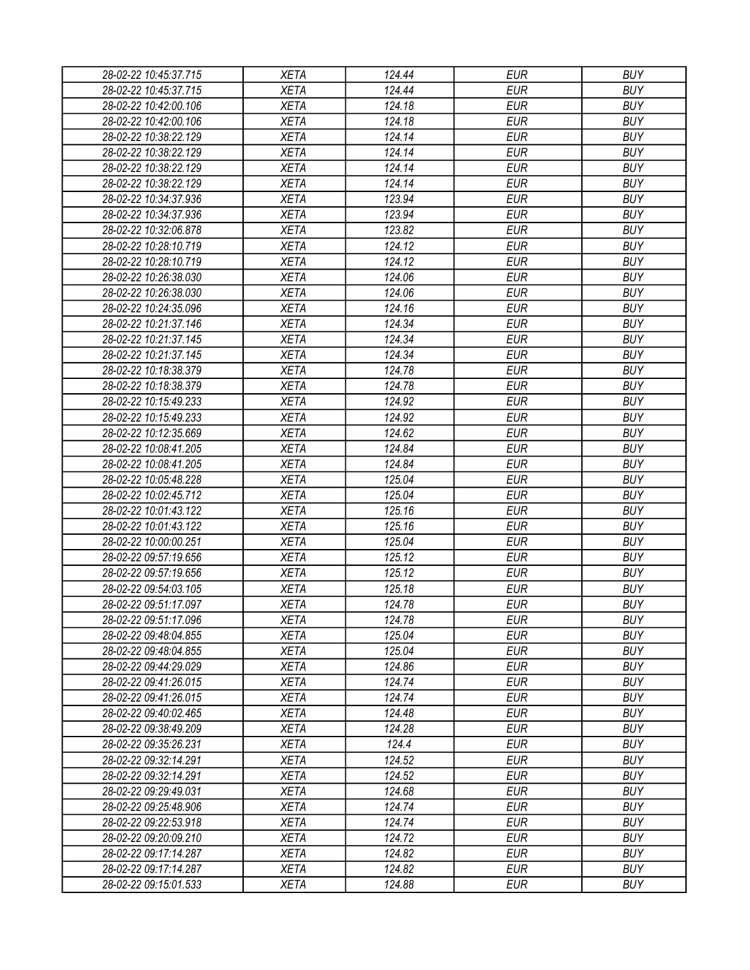| 28-02-22 10:45:37.715 | <b>XETA</b> | 124.44 | <b>EUR</b> | <b>BUY</b> |
|-----------------------|-------------|--------|------------|------------|
| 28-02-22 10:45:37.715 | <b>XETA</b> | 124.44 | <b>EUR</b> | <b>BUY</b> |
| 28-02-22 10:42:00.106 | <b>XETA</b> | 124.18 | <b>EUR</b> | <b>BUY</b> |
| 28-02-22 10:42:00.106 | <b>XETA</b> | 124.18 | <b>EUR</b> | <b>BUY</b> |
| 28-02-22 10:38:22.129 | <b>XETA</b> | 124.14 | <b>EUR</b> | <b>BUY</b> |
| 28-02-22 10:38:22.129 | <b>XETA</b> | 124.14 | <b>EUR</b> | <b>BUY</b> |
| 28-02-22 10:38:22.129 | <b>XETA</b> | 124.14 | <b>EUR</b> | <b>BUY</b> |
| 28-02-22 10:38:22.129 | <b>XETA</b> | 124.14 | <b>EUR</b> | <b>BUY</b> |
| 28-02-22 10:34:37.936 | <b>XETA</b> | 123.94 | <b>EUR</b> | <b>BUY</b> |
| 28-02-22 10:34:37.936 | <b>XETA</b> | 123.94 | <b>EUR</b> | <b>BUY</b> |
| 28-02-22 10:32:06.878 | <b>XETA</b> | 123.82 | <b>EUR</b> | <b>BUY</b> |
| 28-02-22 10:28:10.719 | <b>XETA</b> | 124.12 | <b>EUR</b> | <b>BUY</b> |
| 28-02-22 10:28:10.719 | <b>XETA</b> | 124.12 | <b>EUR</b> | <b>BUY</b> |
| 28-02-22 10:26:38.030 | <b>XETA</b> | 124.06 | <b>EUR</b> | <b>BUY</b> |
| 28-02-22 10:26:38.030 | <b>XETA</b> | 124.06 | <b>EUR</b> | <b>BUY</b> |
| 28-02-22 10:24:35.096 | <b>XETA</b> | 124.16 | <b>EUR</b> | <b>BUY</b> |
| 28-02-22 10:21:37.146 | <b>XETA</b> | 124.34 | <b>EUR</b> | <b>BUY</b> |
| 28-02-22 10:21:37.145 | <b>XETA</b> | 124.34 | <b>EUR</b> | <b>BUY</b> |
| 28-02-22 10:21:37.145 | <b>XETA</b> | 124.34 | <b>EUR</b> | <b>BUY</b> |
| 28-02-22 10:18:38.379 | <b>XETA</b> | 124.78 | <b>EUR</b> | <b>BUY</b> |
| 28-02-22 10:18:38.379 | <b>XETA</b> | 124.78 | <b>EUR</b> | <b>BUY</b> |
| 28-02-22 10:15:49.233 | <b>XETA</b> | 124.92 | <b>EUR</b> | <b>BUY</b> |
| 28-02-22 10:15:49.233 | <b>XETA</b> | 124.92 | <b>EUR</b> | <b>BUY</b> |
| 28-02-22 10:12:35.669 | <b>XETA</b> | 124.62 | <b>EUR</b> | <b>BUY</b> |
| 28-02-22 10:08:41.205 | <b>XETA</b> | 124.84 | <b>EUR</b> | <b>BUY</b> |
| 28-02-22 10:08:41.205 | <b>XETA</b> | 124.84 | <b>EUR</b> | <b>BUY</b> |
| 28-02-22 10:05:48.228 | <b>XETA</b> | 125.04 | <b>EUR</b> | <b>BUY</b> |
| 28-02-22 10:02:45.712 | <b>XETA</b> | 125.04 | <b>EUR</b> | <b>BUY</b> |
| 28-02-22 10:01:43.122 | <b>XETA</b> | 125.16 | <b>EUR</b> | <b>BUY</b> |
| 28-02-22 10:01:43.122 | <b>XETA</b> | 125.16 | <b>EUR</b> | <b>BUY</b> |
| 28-02-22 10:00:00.251 | <b>XETA</b> | 125.04 | <b>EUR</b> | <b>BUY</b> |
| 28-02-22 09:57:19.656 | <b>XETA</b> | 125.12 | <b>EUR</b> | <b>BUY</b> |
| 28-02-22 09:57:19.656 | <b>XETA</b> | 125.12 | <b>EUR</b> | <b>BUY</b> |
| 28-02-22 09:54:03.105 | <b>XETA</b> | 125.18 | <b>EUR</b> | <b>BUY</b> |
| 28-02-22 09:51:17.097 | <b>XETA</b> | 124.78 | <b>EUR</b> | <b>BUY</b> |
| 28-02-22 09:51:17.096 | <b>XETA</b> | 124.78 | <b>EUR</b> | <b>BUY</b> |
| 28-02-22 09:48:04.855 | <b>XETA</b> | 125.04 | <b>EUR</b> | <b>BUY</b> |
| 28-02-22 09:48:04.855 | <b>XETA</b> | 125.04 | <b>EUR</b> | <b>BUY</b> |
|                       | <b>XETA</b> | 124.86 | <b>EUR</b> | <b>BUY</b> |
| 28-02-22 09:44:29.029 |             |        | <b>EUR</b> | <b>BUY</b> |
| 28-02-22 09:41:26.015 | <b>XETA</b> | 124.74 |            |            |
| 28-02-22 09:41:26.015 | <b>XETA</b> | 124.74 | <b>EUR</b> | <b>BUY</b> |
| 28-02-22 09:40:02.465 | <b>XETA</b> | 124.48 | <b>EUR</b> | <b>BUY</b> |
| 28-02-22 09:38:49.209 | <b>XETA</b> | 124.28 | <b>EUR</b> | <b>BUY</b> |
| 28-02-22 09:35:26.231 | <b>XETA</b> | 124.4  | <b>EUR</b> | <b>BUY</b> |
| 28-02-22 09:32:14.291 | <b>XETA</b> | 124.52 | <b>EUR</b> | <b>BUY</b> |
| 28-02-22 09:32:14.291 | <b>XETA</b> | 124.52 | <b>EUR</b> | <b>BUY</b> |
| 28-02-22 09:29:49.031 | <b>XETA</b> | 124.68 | <b>EUR</b> | <b>BUY</b> |
| 28-02-22 09:25:48.906 | <b>XETA</b> | 124.74 | <b>EUR</b> | <b>BUY</b> |
| 28-02-22 09:22:53.918 | <b>XETA</b> | 124.74 | <b>EUR</b> | <b>BUY</b> |
| 28-02-22 09:20:09.210 | <b>XETA</b> | 124.72 | <b>EUR</b> | <b>BUY</b> |
| 28-02-22 09:17:14.287 | <b>XETA</b> | 124.82 | <b>EUR</b> | <b>BUY</b> |
| 28-02-22 09:17:14.287 | <b>XETA</b> | 124.82 | <b>EUR</b> | <b>BUY</b> |
| 28-02-22 09:15:01.533 | <b>XETA</b> | 124.88 | <b>EUR</b> | <b>BUY</b> |